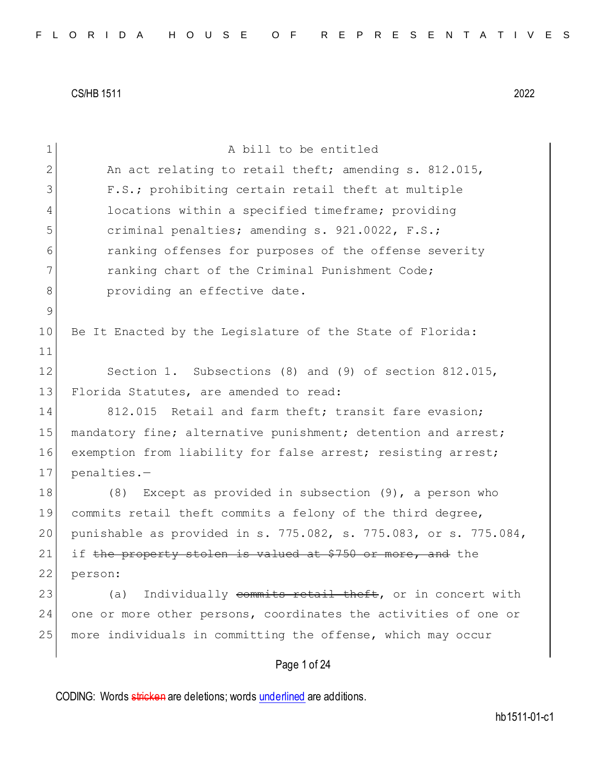| $\mathbf 1$   | A bill to be entitled                                            |
|---------------|------------------------------------------------------------------|
| 2             | An act relating to retail theft; amending s. 812.015,            |
| 3             | F.S.; prohibiting certain retail theft at multiple               |
| 4             | locations within a specified timeframe; providing                |
| 5             | criminal penalties; amending s. 921.0022, F.S.;                  |
| 6             | ranking offenses for purposes of the offense severity            |
| 7             | ranking chart of the Criminal Punishment Code;                   |
| 8             | providing an effective date.                                     |
| $\mathcal{G}$ |                                                                  |
| 10            | Be It Enacted by the Legislature of the State of Florida:        |
| 11            |                                                                  |
| 12            | Section 1. Subsections (8) and (9) of section 812.015,           |
| 13            | Florida Statutes, are amended to read:                           |
| 14            | 812.015 Retail and farm theft; transit fare evasion;             |
| 15            | mandatory fine; alternative punishment; detention and arrest;    |
| 16            | exemption from liability for false arrest; resisting arrest;     |
| 17            | penalties.-                                                      |
| 18            | Except as provided in subsection $(9)$ , a person who<br>(8)     |
| 19            | commits retail theft commits a felony of the third degree,       |
| 20            | punishable as provided in s. 775.082, s. 775.083, or s. 775.084, |
| 21            | if the property stolen is valued at \$750 or more, and the       |
| 22            | person:                                                          |
| 23            | Individually commits retail theft, or in concert with<br>(a)     |
| 24            | one or more other persons, coordinates the activities of one or  |
| 25            | more individuals in committing the offense, which may occur      |
|               | Page 1 of 24                                                     |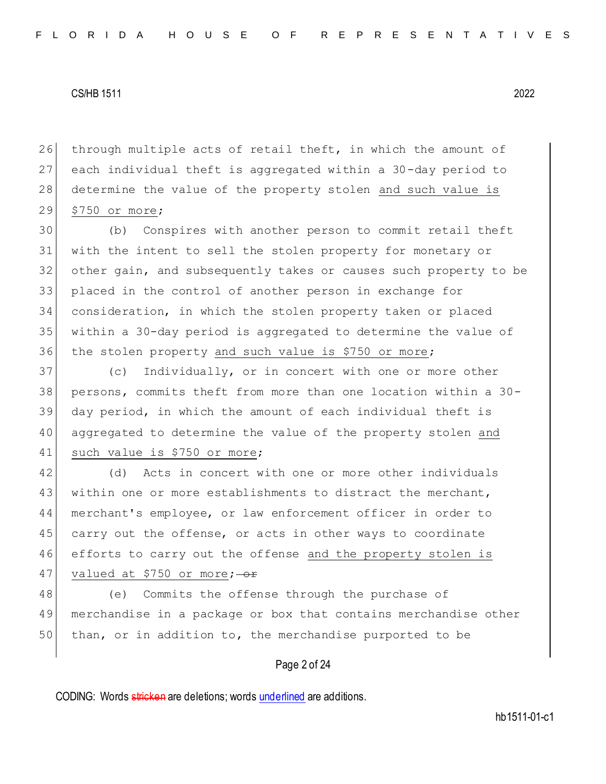26 through multiple acts of retail theft, in which the amount of 27 each individual theft is aggregated within a 30-day period to 28 determine the value of the property stolen and such value is 29 \$750 or more;

 (b) Conspires with another person to commit retail theft with the intent to sell the stolen property for monetary or other gain, and subsequently takes or causes such property to be placed in the control of another person in exchange for consideration, in which the stolen property taken or placed within a 30-day period is aggregated to determine the value of 36 the stolen property and such value is \$750 or more;

 (c) Individually, or in concert with one or more other persons, commits theft from more than one location within a 30- day period, in which the amount of each individual theft is aggregated to determine the value of the property stolen and 41 such value is \$750 or more;

42 (d) Acts in concert with one or more other individuals 43 within one or more establishments to distract the merchant, 44 merchant's employee, or law enforcement officer in order to 45 carry out the offense, or acts in other ways to coordinate 46 efforts to carry out the offense and the property stolen is 47 valued at \$750 or more;  $-$ or

48 (e) Commits the offense through the purchase of 49 merchandise in a package or box that contains merchandise other 50 than, or in addition to, the merchandise purported to be

## Page 2 of 24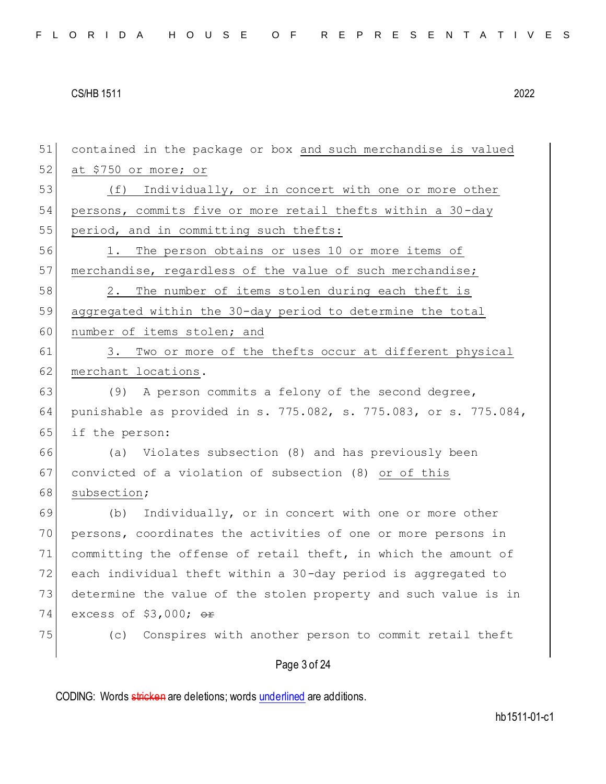Page 3 of 24 51 contained in the package or box and such merchandise is valued  $52$  at \$750 or more; or 53 (f) Individually, or in concert with one or more other 54 persons, commits five or more retail thefts within a 30-day 55 period, and in committing such thefts: 56 1. The person obtains or uses 10 or more items of 57 merchandise, regardless of the value of such merchandise; 58 2. The number of items stolen during each theft is 59 aggregated within the 30-day period to determine the total 60 number of items stolen; and 61 3. Two or more of the thefts occur at different physical 62 merchant locations. 63 (9) A person commits a felony of the second degree, 64 punishable as provided in s. 775.082, s. 775.083, or s. 775.084, 65 if the person: 66 (a) Violates subsection (8) and has previously been 67 convicted of a violation of subsection (8) or of this 68 subsection; 69 (b) Individually, or in concert with one or more other 70 persons, coordinates the activities of one or more persons in 71 committing the offense of retail theft, in which the amount of 72 each individual theft within a 30-day period is aggregated to 73 determine the value of the stolen property and such value is in 74 excess of  $$3,000;$  or 75 (c) Conspires with another person to commit retail theft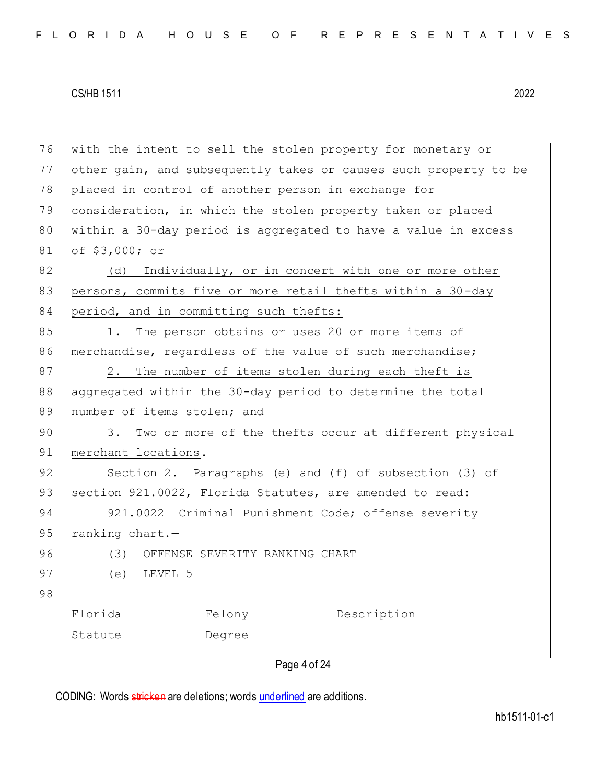76 with the intent to sell the stolen property for monetary or 77 other gain, and subsequently takes or causes such property to be 78 placed in control of another person in exchange for 79 consideration, in which the stolen property taken or placed 80 within a 30-day period is aggregated to have a value in excess 81 of \$3,000; or 82 (d) Individually, or in concert with one or more other 83 persons, commits five or more retail thefts within a 30-day 84 period, and in committing such thefts: 85 1. The person obtains or uses 20 or more items of 86 merchandise, regardless of the value of such merchandise; 87 2. The number of items stolen during each theft is 88 aggregated within the 30-day period to determine the total 89 number of items stolen; and 90 3. Two or more of the thefts occur at different physical 91 merchant locations. 92 Section 2. Paragraphs (e) and (f) of subsection (3) of 93 section 921.0022, Florida Statutes, are amended to read: 94 921.0022 Criminal Punishment Code; offense severity 95 ranking chart.-96 (3) OFFENSE SEVERITY RANKING CHART 97 (e) LEVEL 5 98 Florida Statute Felony Degree Description

Page 4 of 24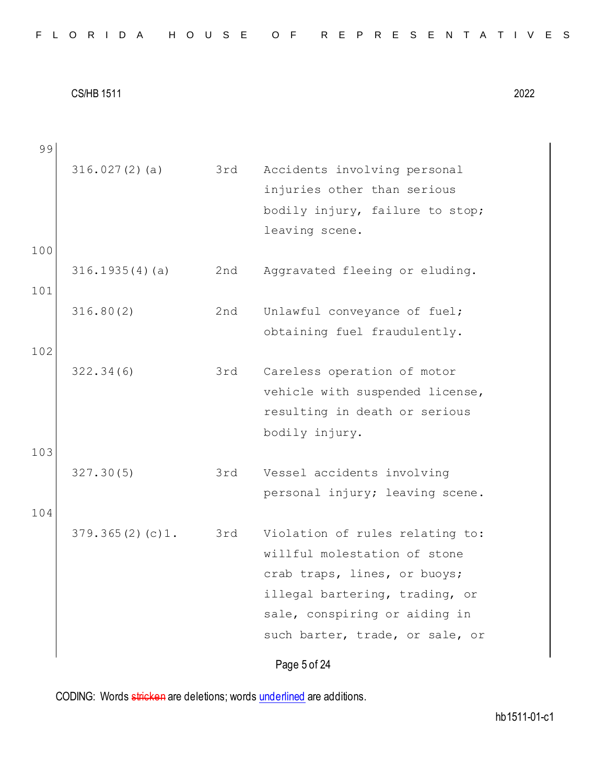| FLORIDA HOUSE OF REPRESENTATIVES |  |
|----------------------------------|--|
|----------------------------------|--|

Page 5 of 24 99 316.027(2)(a) 3rd Accidents involving personal injuries other than serious bodily injury, failure to stop; leaving scene. 100 316.1935(4)(a) 2nd Aggravated fleeing or eluding. 101 316.80(2) 2nd Unlawful conveyance of fuel; obtaining fuel fraudulently. 102 322.34(6) 3rd Careless operation of motor vehicle with suspended license, resulting in death or serious bodily injury. 103 327.30(5) 3rd Vessel accidents involving personal injury; leaving scene. 104 379.365(2)(c)1. 3rd Violation of rules relating to: willful molestation of stone crab traps, lines, or buoys; illegal bartering, trading, or sale, conspiring or aiding in such barter, trade, or sale, or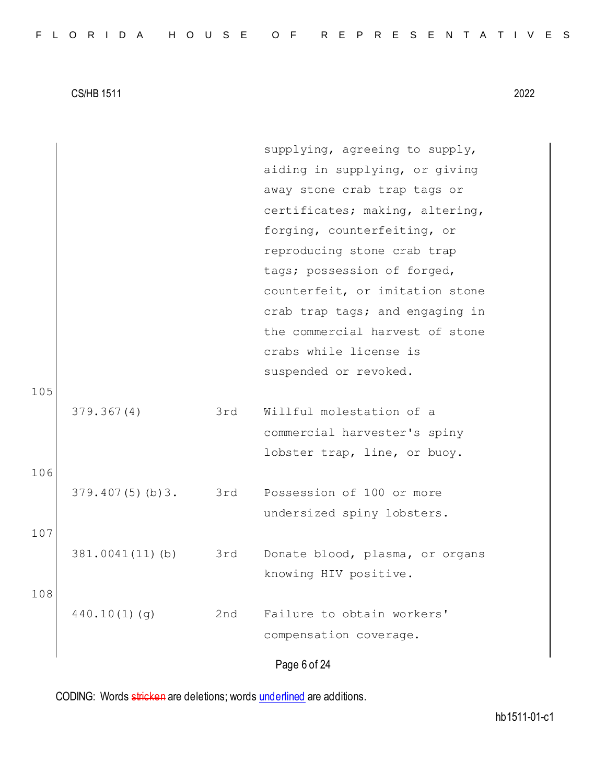|     |                 |     | supplying, agreeing to supply,  |
|-----|-----------------|-----|---------------------------------|
|     |                 |     | aiding in supplying, or giving  |
|     |                 |     | away stone crab trap tags or    |
|     |                 |     | certificates; making, altering, |
|     |                 |     | forging, counterfeiting, or     |
|     |                 |     | reproducing stone crab trap     |
|     |                 |     | tags; possession of forged,     |
|     |                 |     | counterfeit, or imitation stone |
|     |                 |     | crab trap tags; and engaging in |
|     |                 |     | the commercial harvest of stone |
|     |                 |     | crabs while license is          |
|     |                 |     | suspended or revoked.           |
| 105 |                 |     |                                 |
|     | 379.367(4)      | 3rd | Willful molestation of a        |
|     |                 |     | commercial harvester's spiny    |
|     |                 |     | lobster trap, line, or buoy.    |
| 106 |                 |     |                                 |
|     | 379.407(5)(b)3. | 3rd | Possession of 100 or more       |
|     |                 |     | undersized spiny lobsters.      |
| 107 |                 |     |                                 |
|     | 381.0041(11)(b) | 3rd | Donate blood, plasma, or organs |
|     |                 |     | knowing HIV positive.           |
| 108 |                 |     |                                 |
|     | 440.10(1)(q)    | 2nd | Failure to obtain workers'      |
|     |                 |     | compensation coverage.          |
|     |                 |     | Page 6 of 24                    |
|     |                 |     |                                 |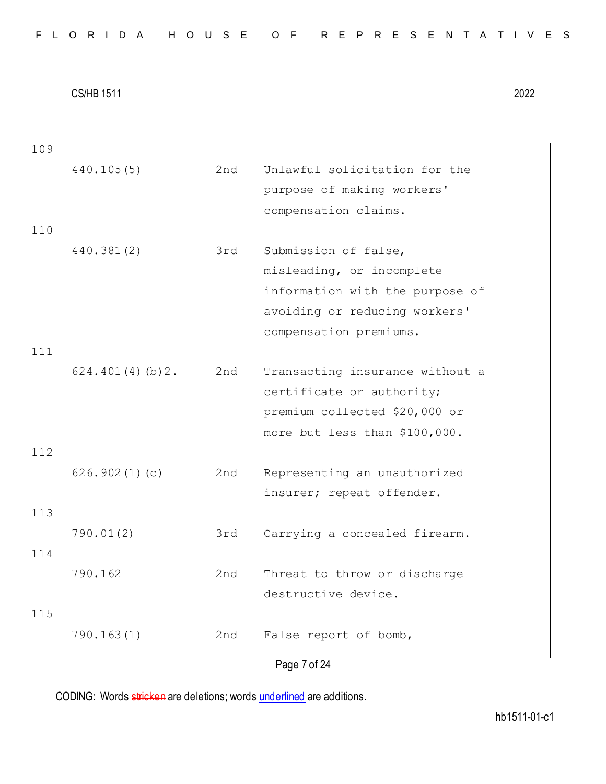| 109 |                 |     |                                 |
|-----|-----------------|-----|---------------------------------|
|     | 440.105(5)      | 2nd | Unlawful solicitation for the   |
|     |                 |     | purpose of making workers'      |
|     |                 |     | compensation claims.            |
| 110 |                 |     |                                 |
|     | 440.381(2)      | 3rd | Submission of false,            |
|     |                 |     | misleading, or incomplete       |
|     |                 |     | information with the purpose of |
|     |                 |     | avoiding or reducing workers'   |
|     |                 |     | compensation premiums.          |
| 111 |                 |     |                                 |
|     | 624.401(4)(b)2. | 2nd | Transacting insurance without a |
|     |                 |     | certificate or authority;       |
|     |                 |     | premium collected \$20,000 or   |
|     |                 |     | more but less than \$100,000.   |
| 112 |                 |     |                                 |
|     | 626.902(1)(c)   | 2nd | Representing an unauthorized    |
|     |                 |     | insurer; repeat offender.       |
| 113 |                 |     |                                 |
|     | 790.01(2)       | 3rd | Carrying a concealed firearm.   |
| 114 |                 |     |                                 |
|     | 790.162         | 2nd | Threat to throw or discharge    |
|     |                 |     | destructive device.             |
| 115 |                 |     |                                 |
|     | 790.163(1)      | 2nd | False report of bomb,           |
|     |                 |     | Page 7 of 24                    |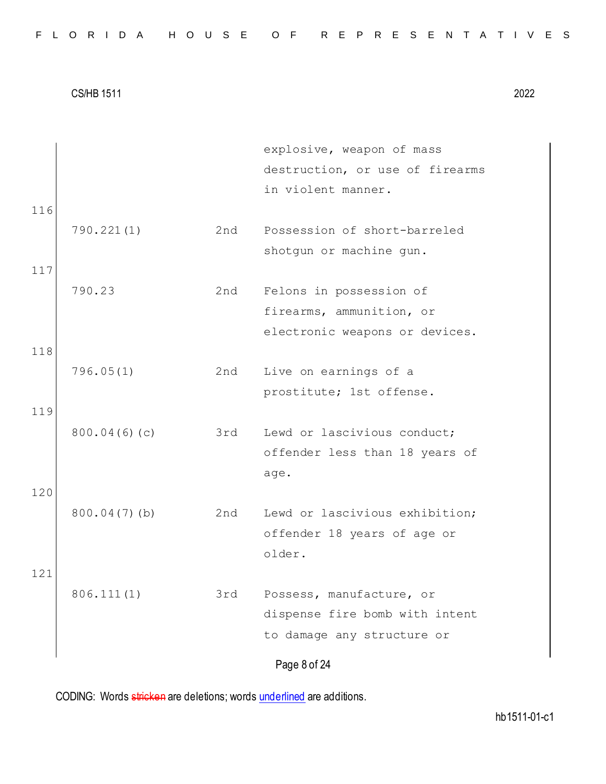| FLORIDA HOUSE OF REPRESENTATIVES |  |  |  |  |  |  |  |  |  |  |  |  |  |  |  |  |  |  |  |  |  |  |  |  |  |  |
|----------------------------------|--|--|--|--|--|--|--|--|--|--|--|--|--|--|--|--|--|--|--|--|--|--|--|--|--|--|
|----------------------------------|--|--|--|--|--|--|--|--|--|--|--|--|--|--|--|--|--|--|--|--|--|--|--|--|--|--|

|     |                 |     | explosive, weapon of mass       |
|-----|-----------------|-----|---------------------------------|
|     |                 |     | destruction, or use of firearms |
|     |                 |     | in violent manner.              |
| 116 |                 |     |                                 |
|     | 790.221(1)      | 2nd | Possession of short-barreled    |
|     |                 |     | shotgun or machine gun.         |
| 117 |                 |     |                                 |
|     | 790.23          | 2nd | Felons in possession of         |
|     |                 |     | firearms, ammunition, or        |
|     |                 |     | electronic weapons or devices.  |
| 118 |                 |     |                                 |
|     | 796.05(1)       | 2nd | Live on earnings of a           |
|     |                 |     | prostitute; 1st offense.        |
| 119 |                 |     |                                 |
|     | 800.04(6)(c)    | 3rd | Lewd or lascivious conduct;     |
|     |                 |     | offender less than 18 years of  |
|     |                 |     | age.                            |
| 120 |                 |     |                                 |
|     | $800.04(7)$ (b) | 2nd | Lewd or lascivious exhibition;  |
|     |                 |     | offender 18 years of age or     |
|     |                 |     | older.                          |
| 121 |                 |     |                                 |
|     | 806.111(1)      | 3rd | Possess, manufacture, or        |
|     |                 |     | dispense fire bomb with intent  |
|     |                 |     | to damage any structure or      |
|     |                 |     |                                 |
|     |                 |     | Page 8 of 24                    |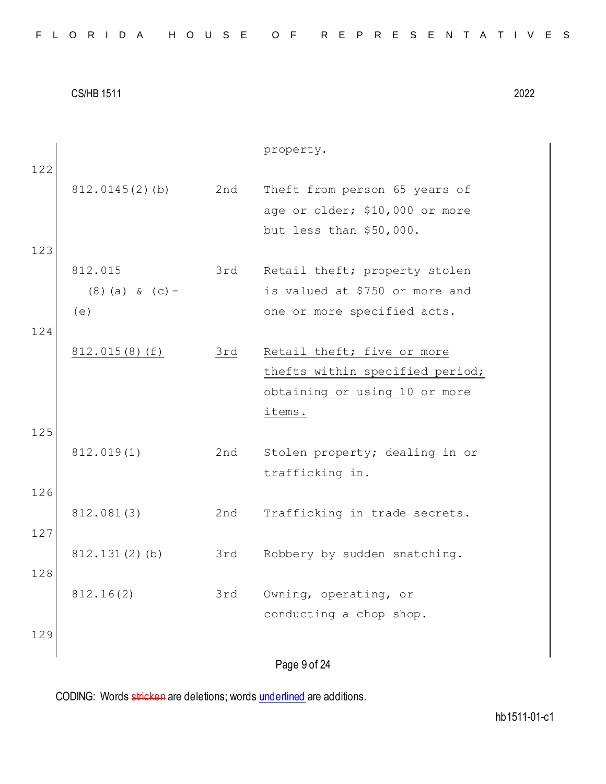| FLORIDA HOUSE OF REPRESENTATIVES |  |  |  |  |  |  |  |  |  |  |  |  |  |  |  |  |  |  |  |  |  |  |  |  |  |  |  |  |  |  |  |
|----------------------------------|--|--|--|--|--|--|--|--|--|--|--|--|--|--|--|--|--|--|--|--|--|--|--|--|--|--|--|--|--|--|--|
|----------------------------------|--|--|--|--|--|--|--|--|--|--|--|--|--|--|--|--|--|--|--|--|--|--|--|--|--|--|--|--|--|--|--|

Page 9 of 24 property. 122 812.0145(2)(b) 2nd Theft from person 65 years of age or older; \$10,000 or more but less than \$50,000. 123 812.015 (8)(a) & (c)- (e) 3rd Retail theft; property stolen is valued at \$750 or more and one or more specified acts. 124 812.015(8)(f) 3rd Retail theft; five or more thefts within specified period; obtaining or using 10 or more items. 125 812.019(1) 2nd Stolen property; dealing in or trafficking in. 126 812.081(3) 2nd Trafficking in trade secrets. 127 812.131(2)(b) 3rd Robbery by sudden snatching. 128 812.16(2) 3rd Owning, operating, or conducting a chop shop. 129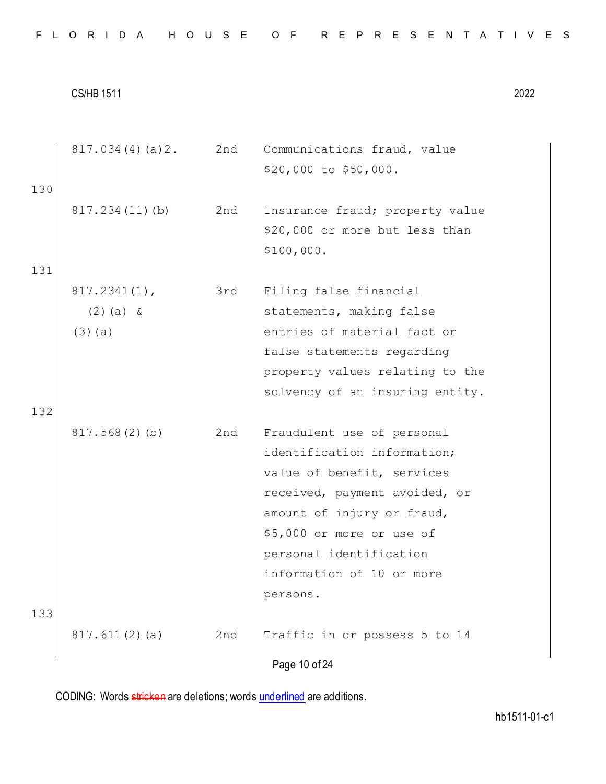|  |  |  |  |  |  |  |  |  |  | FLORIDA HOUSE OF REPRESENTATIVES |  |  |  |  |  |  |  |  |  |  |  |  |  |  |  |
|--|--|--|--|--|--|--|--|--|--|----------------------------------|--|--|--|--|--|--|--|--|--|--|--|--|--|--|--|
|--|--|--|--|--|--|--|--|--|--|----------------------------------|--|--|--|--|--|--|--|--|--|--|--|--|--|--|--|

Page 10 of 24 817.034(4)(a)2. 2nd Communications fraud, value \$20,000 to \$50,000. 130 817.234(11)(b) 2nd Insurance fraud; property value \$20,000 or more but less than \$100,000. 131 817.2341(1),  $(2)(a)$  & (3)(a) 3rd Filing false financial statements, making false entries of material fact or false statements regarding property values relating to the solvency of an insuring entity. 132 817.568(2)(b) 2nd Fraudulent use of personal identification information; value of benefit, services received, payment avoided, or amount of injury or fraud, \$5,000 or more or use of personal identification information of 10 or more persons. 133 817.611(2)(a) 2nd Traffic in or possess 5 to 14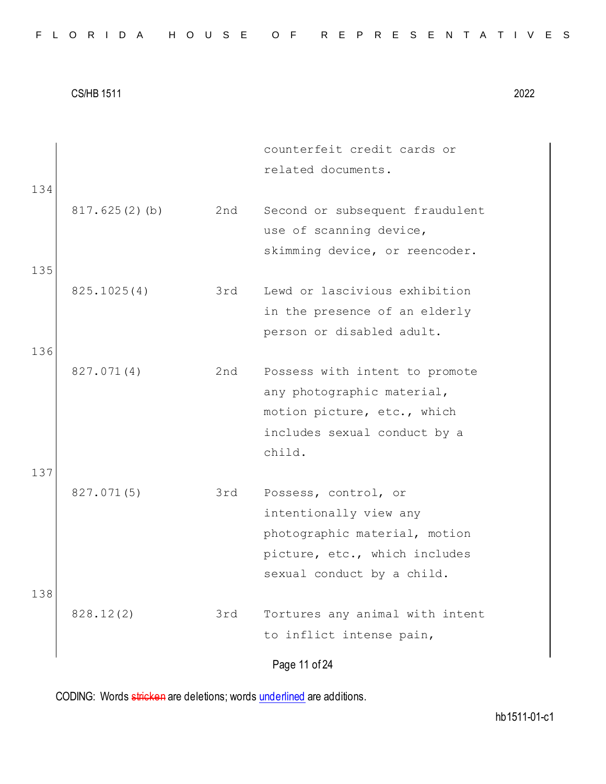|     |               |     | counterfeit credit cards or<br>related documents.                                            |
|-----|---------------|-----|----------------------------------------------------------------------------------------------|
| 134 | 817.625(2)(b) | 2nd | Second or subsequent fraudulent<br>use of scanning device,                                   |
| 135 |               |     | skimming device, or reencoder.                                                               |
|     | 825.1025(4)   | 3rd | Lewd or lascivious exhibition<br>in the presence of an elderly<br>person or disabled adult.  |
| 136 | 827.071(4)    | 2nd | Possess with intent to promote                                                               |
|     |               |     | any photographic material,<br>motion picture, etc., which                                    |
|     |               |     | includes sexual conduct by a<br>child.                                                       |
| 137 | 827.071(5)    | 3rd | Possess, control, or<br>intentionally view any                                               |
|     |               |     | photographic material, motion<br>picture, etc., which includes<br>sexual conduct by a child. |
| 138 | 828.12(2)     | 3rd | Tortures any animal with intent<br>to inflict intense pain,                                  |
|     |               |     | Page 11 of 24                                                                                |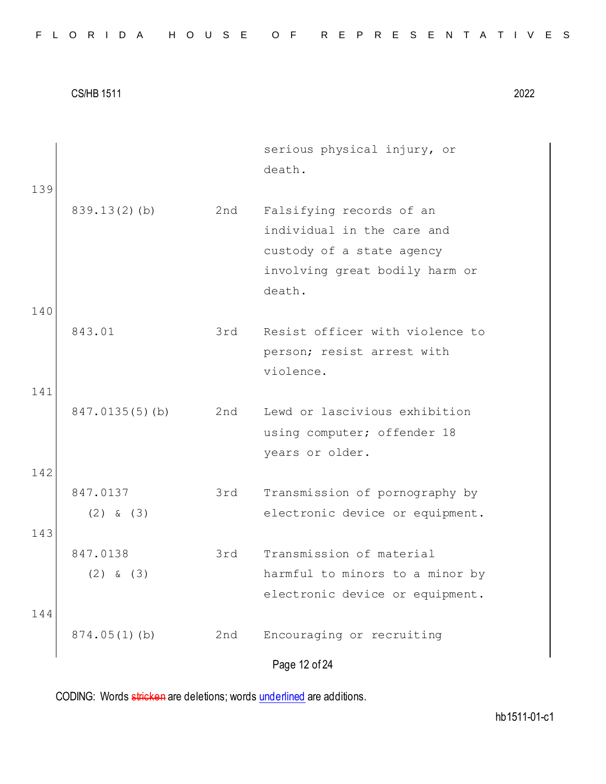|  |  |  |  |  |  |  |  |  |  | FLORIDA HOUSE OF REPRESENTATIVES |  |  |  |  |  |  |  |  |  |  |  |  |  |  |  |
|--|--|--|--|--|--|--|--|--|--|----------------------------------|--|--|--|--|--|--|--|--|--|--|--|--|--|--|--|
|--|--|--|--|--|--|--|--|--|--|----------------------------------|--|--|--|--|--|--|--|--|--|--|--|--|--|--|--|

| 139 |                           |     | serious physical injury, or<br>death.                                                                                           |
|-----|---------------------------|-----|---------------------------------------------------------------------------------------------------------------------------------|
|     | $839.13(2)$ (b)           | 2nd | Falsifying records of an<br>individual in the care and<br>custody of a state agency<br>involving great bodily harm or<br>death. |
| 140 |                           |     |                                                                                                                                 |
|     | 843.01                    | 3rd | Resist officer with violence to<br>person; resist arrest with<br>violence.                                                      |
| 141 | 847.0135(5)(b)            | 2nd | Lewd or lascivious exhibition<br>using computer; offender 18<br>years or older.                                                 |
| 142 |                           |     |                                                                                                                                 |
|     | 847.0137<br>$(2)$ & $(3)$ | 3rd | Transmission of pornography by<br>electronic device or equipment.                                                               |
| 143 |                           |     |                                                                                                                                 |
| 144 | 847.0138<br>$(2)$ & $(3)$ | 3rd | Transmission of material<br>harmful to minors to a minor by<br>electronic device or equipment.                                  |
|     | $874.05(1)$ (b)           | 2nd | Encouraging or recruiting<br>Page 12 of 24                                                                                      |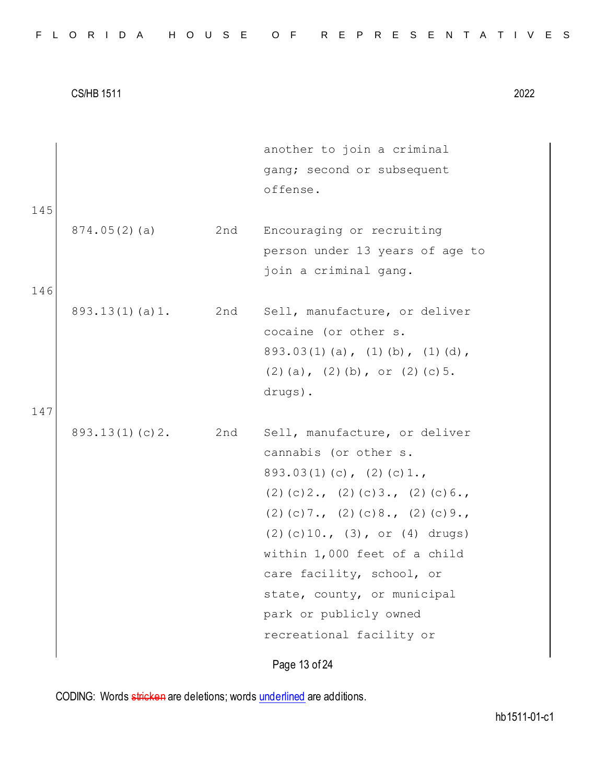|     |                    |     | another to join a criminal                     |
|-----|--------------------|-----|------------------------------------------------|
|     |                    |     | gang; second or subsequent                     |
|     |                    |     | offense.                                       |
| 145 |                    |     |                                                |
|     | 874.05(2)(a)       | 2nd | Encouraging or recruiting                      |
|     |                    |     | person under 13 years of age to                |
|     |                    |     | join a criminal gang.                          |
| 146 |                    |     |                                                |
|     | $893.13(1)$ (a) 1. | 2nd | Sell, manufacture, or deliver                  |
|     |                    |     | cocaine (or other s.                           |
|     |                    |     | $893.03(1)$ (a), (1) (b), (1) (d),             |
|     |                    |     | $(2)$ (a), $(2)$ (b), or $(2)$ (c) 5.          |
|     |                    |     | drugs).                                        |
| 147 |                    |     |                                                |
|     | 893.13(1)(c)2.     | 2nd | Sell, manufacture, or deliver                  |
|     |                    |     | cannabis (or other s.                          |
|     |                    |     | $893.03(1)(c)$ , $(2)(c)1.$                    |
|     |                    |     | $(2)$ (c) $2.$ , (2) (c) $3.$ , (2) (c) $6.$ , |
|     |                    |     | $(2)$ (c) 7., (2) (c) 8., (2) (c) 9.,          |
|     |                    |     | (2)(c)10., (3), or (4) drugs)                  |
|     |                    |     | within 1,000 feet of a child                   |
|     |                    |     | care facility, school, or                      |
|     |                    |     | state, county, or municipal                    |
|     |                    |     | park or publicly owned                         |
|     |                    |     | recreational facility or                       |
|     |                    |     | Page 13 of 24                                  |
|     |                    |     |                                                |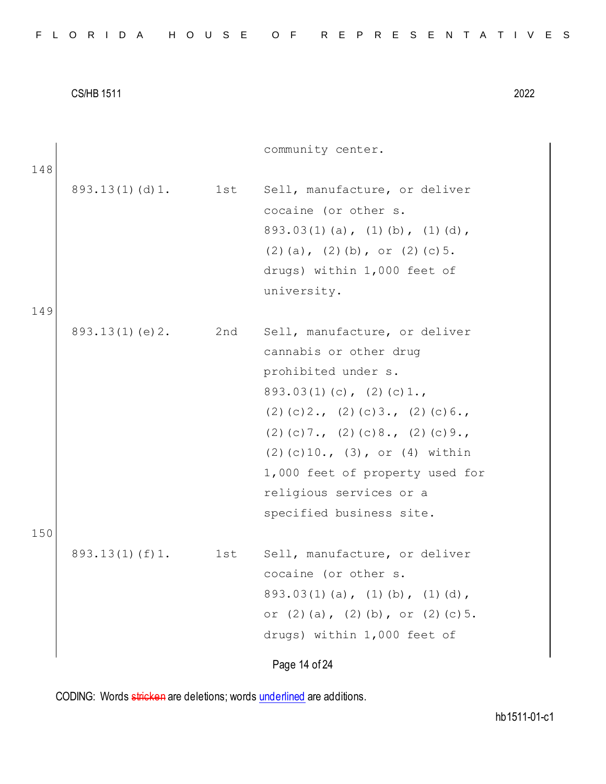| FLORIDA HOUSE OF REPRESENTATIVES |  |  |  |  |  |  |  |  |  |  |  |  |  |  |  |  |  |  |  |  |  |  |  |  |  |  |  |  |  |  |  |
|----------------------------------|--|--|--|--|--|--|--|--|--|--|--|--|--|--|--|--|--|--|--|--|--|--|--|--|--|--|--|--|--|--|--|
|----------------------------------|--|--|--|--|--|--|--|--|--|--|--|--|--|--|--|--|--|--|--|--|--|--|--|--|--|--|--|--|--|--|--|

community center.

| 148 |                    |     |                                                                                                                                                                                                                                                                                                                                |
|-----|--------------------|-----|--------------------------------------------------------------------------------------------------------------------------------------------------------------------------------------------------------------------------------------------------------------------------------------------------------------------------------|
| 149 | $893.13(1)$ (d) 1. | lst | Sell, manufacture, or deliver<br>cocaine (or other s.<br>$893.03(1)$ (a), (1) (b), (1) (d),<br>$(2)$ (a), $(2)$ (b), or $(2)$ (c) 5.<br>drugs) within 1,000 feet of<br>university.                                                                                                                                             |
| 150 | 893.13(1)(e)2.     | 2nd | Sell, manufacture, or deliver<br>cannabis or other drug<br>prohibited under s.<br>$893.03(1)(c)$ , $(2)(c)1.$<br>$(2)$ (c) 2., (2) (c) 3., (2) (c) 6.,<br>$(2)$ (c) 7., (2) (c) 8., (2) (c) 9.,<br>$(2)$ (c) 10., (3), or (4) within<br>1,000 feet of property used for<br>religious services or a<br>specified business site. |
|     | $893.13(1)$ (f) 1. | lst | Sell, manufacture, or deliver<br>cocaine (or other s.<br>$893.03(1)$ (a), (1) (b), (1) (d),<br>or $(2)$ $(a)$ , $(2)$ $(b)$ , or $(2)$ $(c)$ 5.<br>drugs) within 1,000 feet of<br>Page 14 of 24                                                                                                                                |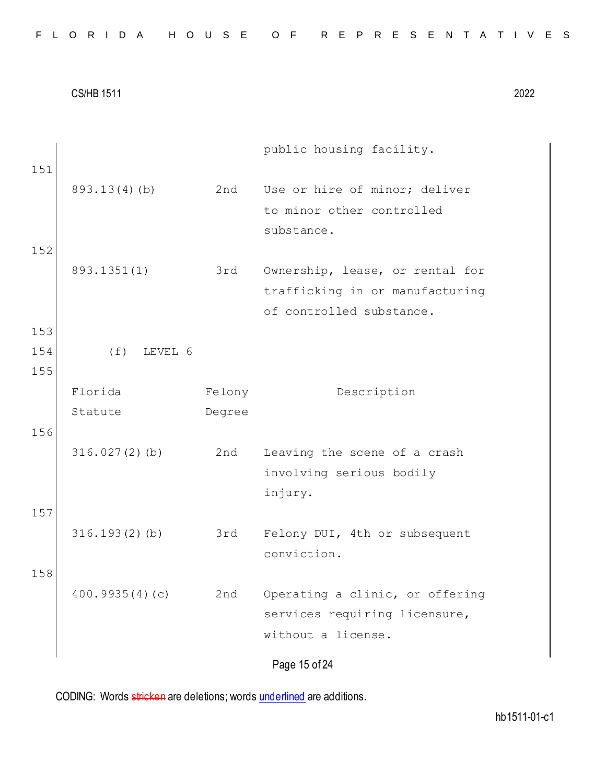| FLORIDA HOUSE OF REPRESENTATIVES |  |  |  |  |  |  |  |  |  |  |  |  |  |  |  |  |  |  |  |  |  |  |  |  |  |  |  |  |  |  |  |
|----------------------------------|--|--|--|--|--|--|--|--|--|--|--|--|--|--|--|--|--|--|--|--|--|--|--|--|--|--|--|--|--|--|--|
|----------------------------------|--|--|--|--|--|--|--|--|--|--|--|--|--|--|--|--|--|--|--|--|--|--|--|--|--|--|--|--|--|--|--|

Page 15 of 24 public housing facility. 151 893.13(4)(b) 2nd Use or hire of minor; deliver to minor other controlled substance. 152 893.1351(1) 3rd Ownership, lease, or rental for trafficking in or manufacturing of controlled substance. 153 154 (f) LEVEL 6 155 Florida Statute Felony Degree Description 156 316.027(2)(b) 2nd Leaving the scene of a crash involving serious bodily injury. 157 316.193(2)(b) 3rd Felony DUI, 4th or subsequent conviction. 158 400.9935(4)(c) 2nd Operating a clinic, or offering services requiring licensure, without a license.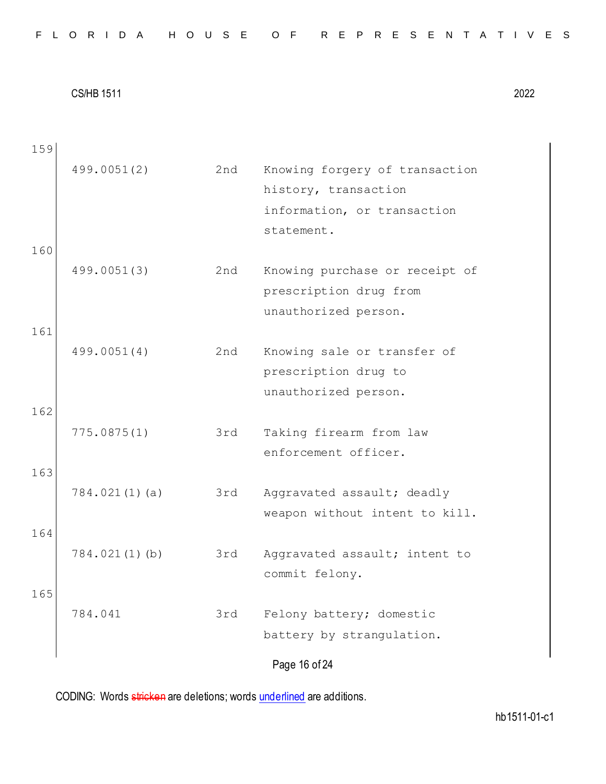| 159 |                  |     |                                                 |
|-----|------------------|-----|-------------------------------------------------|
|     | 499.0051(2)      | 2nd | Knowing forgery of transaction                  |
|     |                  |     | history, transaction                            |
|     |                  |     | information, or transaction                     |
|     |                  |     | statement.                                      |
| 160 |                  |     |                                                 |
|     | 499.0051(3)      | 2nd | Knowing purchase or receipt of                  |
|     |                  |     | prescription drug from                          |
|     |                  |     | unauthorized person.                            |
| 161 |                  |     |                                                 |
|     | 499.0051(4)      | 2nd | Knowing sale or transfer of                     |
|     |                  |     | prescription drug to                            |
|     |                  |     | unauthorized person.                            |
| 162 |                  |     |                                                 |
|     | 775.0875(1)      | 3rd | Taking firearm from law                         |
|     |                  |     | enforcement officer.                            |
| 163 |                  |     |                                                 |
|     | 784.021(1)(a)    | 3rd | Aggravated assault; deadly                      |
| 164 |                  |     | weapon without intent to kill.                  |
|     | $784.021(1)$ (b) | 3rd |                                                 |
|     |                  |     | Aggravated assault; intent to<br>commit felony. |
| 165 |                  |     |                                                 |
|     | 784.041          | 3rd | Felony battery; domestic                        |
|     |                  |     | battery by strangulation.                       |
|     |                  |     |                                                 |
|     |                  |     | Page 16 of 24                                   |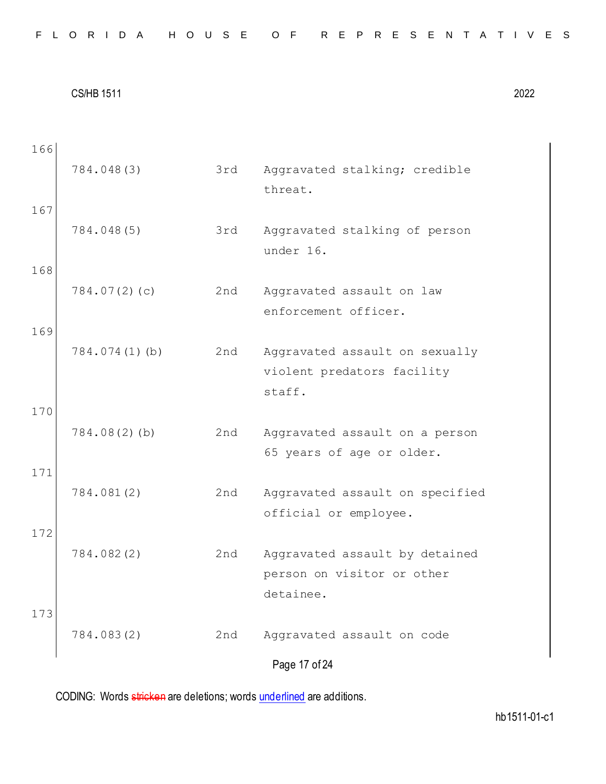|  |  |  |  |  |  |  |  |  | FLORIDA HOUSE OF REPRESENTATIVES |  |  |  |  |  |  |  |  |  |  |  |  |  |  |  |
|--|--|--|--|--|--|--|--|--|----------------------------------|--|--|--|--|--|--|--|--|--|--|--|--|--|--|--|
|--|--|--|--|--|--|--|--|--|----------------------------------|--|--|--|--|--|--|--|--|--|--|--|--|--|--|--|

| 166        | 784.048(3)       | 3rd | Aggravated stalking; credible<br>threat.                                  |
|------------|------------------|-----|---------------------------------------------------------------------------|
| 167        | 784.048(5)       | 3rd | Aggravated stalking of person<br>under 16.                                |
| 168        | 784.07(2)(c)     | 2nd | Aggravated assault on law<br>enforcement officer.                         |
| 169<br>170 | $784.074(1)$ (b) | 2nd | Aggravated assault on sexually<br>violent predators facility<br>staff.    |
| 171        | $784.08(2)$ (b)  | 2nd | Aggravated assault on a person<br>65 years of age or older.               |
|            | 784.081(2)       | 2nd | Aggravated assault on specified<br>official or employee.                  |
| 172<br>173 | 784.082(2)       | 2nd | Aggravated assault by detained<br>person on visitor or other<br>detainee. |
|            | 784.083(2)       | 2nd | Aggravated assault on code<br>Page 17 of 24                               |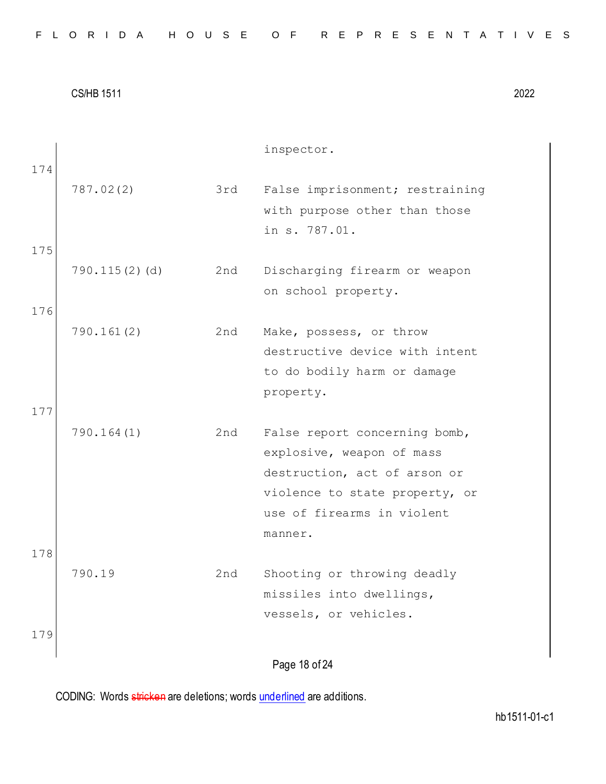| FLORIDA HOUSE OF REPRESENTATIVES |  |  |  |  |  |  |  |  |  |  |  |  |  |  |  |  |  |  |  |  |  |  |  |  |  |  |  |  |  |  |  |
|----------------------------------|--|--|--|--|--|--|--|--|--|--|--|--|--|--|--|--|--|--|--|--|--|--|--|--|--|--|--|--|--|--|--|
|----------------------------------|--|--|--|--|--|--|--|--|--|--|--|--|--|--|--|--|--|--|--|--|--|--|--|--|--|--|--|--|--|--|--|

|            |               |     | inspector.                                                                                                                                                            |
|------------|---------------|-----|-----------------------------------------------------------------------------------------------------------------------------------------------------------------------|
| 174        | 787.02(2)     | 3rd | False imprisonment; restraining<br>with purpose other than those<br>in s. 787.01.                                                                                     |
| 175        |               |     |                                                                                                                                                                       |
|            | 790.115(2)(d) | 2nd | Discharging firearm or weapon<br>on school property.                                                                                                                  |
| 176        |               |     |                                                                                                                                                                       |
| 177        | 790.161(2)    | 2nd | Make, possess, or throw<br>destructive device with intent<br>to do bodily harm or damage<br>property.                                                                 |
|            | 790.164(1)    | 2nd | False report concerning bomb,<br>explosive, weapon of mass<br>destruction, act of arson or<br>violence to state property, or<br>use of firearms in violent<br>manner. |
| 178<br>179 | 790.19        | 2nd | Shooting or throwing deadly<br>missiles into dwellings,<br>vessels, or vehicles.                                                                                      |
|            |               |     | Page 18 of 24                                                                                                                                                         |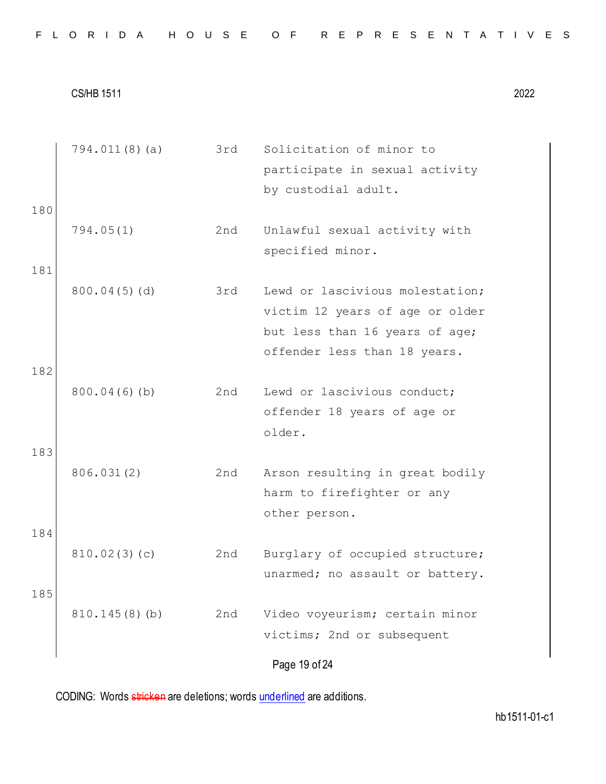|  |  |  |  |  |  |  |  |  |  | FLORIDA HOUSE OF REPRESENTATIVES |  |  |  |  |  |  |  |  |  |  |  |  |  |  |  |
|--|--|--|--|--|--|--|--|--|--|----------------------------------|--|--|--|--|--|--|--|--|--|--|--|--|--|--|--|
|--|--|--|--|--|--|--|--|--|--|----------------------------------|--|--|--|--|--|--|--|--|--|--|--|--|--|--|--|

Page 19 of 24 794.011(8)(a) 3rd Solicitation of minor to participate in sexual activity by custodial adult. 180 794.05(1) 2nd Unlawful sexual activity with specified minor. 181 800.04(5)(d) 3rd Lewd or lascivious molestation; victim 12 years of age or older but less than 16 years of age; offender less than 18 years. 182 800.04(6)(b) 2nd Lewd or lascivious conduct; offender 18 years of age or older. 183 806.031(2) 2nd Arson resulting in great bodily harm to firefighter or any other person. 184 810.02(3)(c) 2nd Burglary of occupied structure; unarmed; no assault or battery. 185 810.145(8)(b) 2nd Video voyeurism; certain minor victims; 2nd or subsequent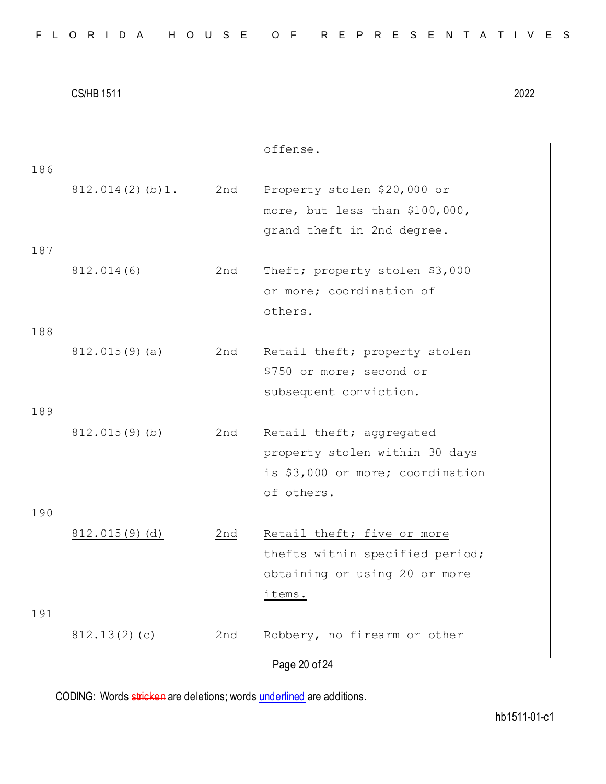|     |                 |     | offense.                         |
|-----|-----------------|-----|----------------------------------|
| 186 |                 |     |                                  |
|     | 812.014(2)(b)1. | 2nd | Property stolen \$20,000 or      |
|     |                 |     | more, but less than \$100,000,   |
|     |                 |     | grand theft in 2nd degree.       |
| 187 |                 |     |                                  |
|     | 812.014(6)      | 2nd | Theft; property stolen \$3,000   |
|     |                 |     | or more; coordination of         |
|     |                 |     | others.                          |
| 188 |                 |     |                                  |
|     | 812.015(9)(a)   | 2nd | Retail theft; property stolen    |
|     |                 |     | \$750 or more; second or         |
|     |                 |     | subsequent conviction.           |
| 189 |                 |     |                                  |
|     | 812.015(9)(b)   | 2nd | Retail theft; aggregated         |
|     |                 |     | property stolen within 30 days   |
|     |                 |     | is \$3,000 or more; coordination |
|     |                 |     | of others.                       |
| 190 |                 |     |                                  |
|     | 812.015(9)(d)   | 2nd | Retail theft; five or more       |
|     |                 |     | thefts within specified period;  |
|     |                 |     | obtaining or using 20 or more    |
|     |                 |     | items.                           |
| 191 |                 |     |                                  |
|     | 812.13(2)(c)    | 2nd | Robbery, no firearm or other     |
|     |                 |     | Page 20 of 24                    |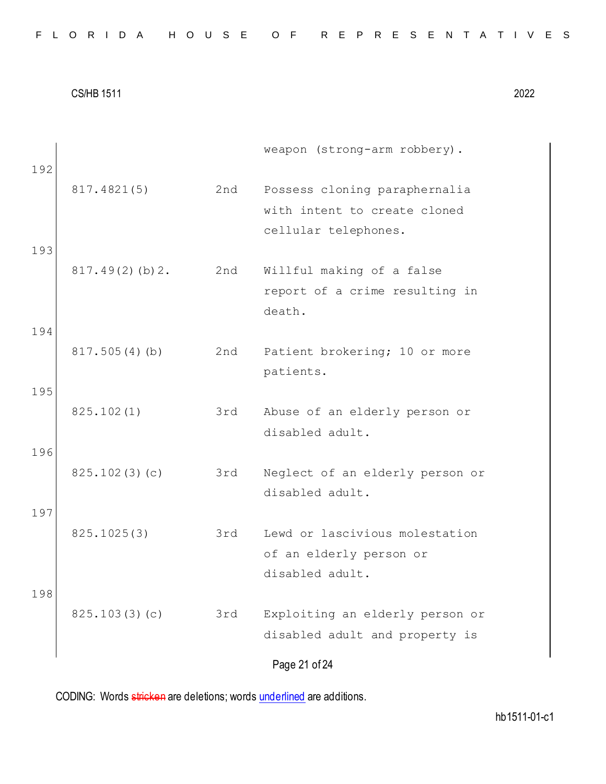|  |  |  |  |  |  |  |  |  |  | FLORIDA HOUSE OF REPRESENTATIVES |  |  |  |  |  |  |  |  |  |  |  |  |  |  |  |
|--|--|--|--|--|--|--|--|--|--|----------------------------------|--|--|--|--|--|--|--|--|--|--|--|--|--|--|--|
|--|--|--|--|--|--|--|--|--|--|----------------------------------|--|--|--|--|--|--|--|--|--|--|--|--|--|--|--|

| 192 |                    |     | weapon (strong-arm robbery).                                                          |
|-----|--------------------|-----|---------------------------------------------------------------------------------------|
|     | 817.4821(5)        | 2nd | Possess cloning paraphernalia<br>with intent to create cloned<br>cellular telephones. |
| 193 | $817.49(2)$ (b) 2. | 2nd | Willful making of a false<br>report of a crime resulting in<br>death.                 |
| 194 | 817.505(4)(b)      | 2nd | Patient brokering; 10 or more                                                         |
| 195 |                    |     | patients.                                                                             |
| 196 | 825.102(1)         | 3rd | Abuse of an elderly person or<br>disabled adult.                                      |
|     | 825.102(3)(c)      | 3rd | Neglect of an elderly person or<br>disabled adult.                                    |
| 197 | 825.1025(3)        | 3rd | Lewd or lascivious molestation<br>of an elderly person or<br>disabled adult.          |
| 198 | 825.103(3)(c)      | 3rd | Exploiting an elderly person or<br>disabled adult and property is                     |
|     |                    |     | Page 21 of 24                                                                         |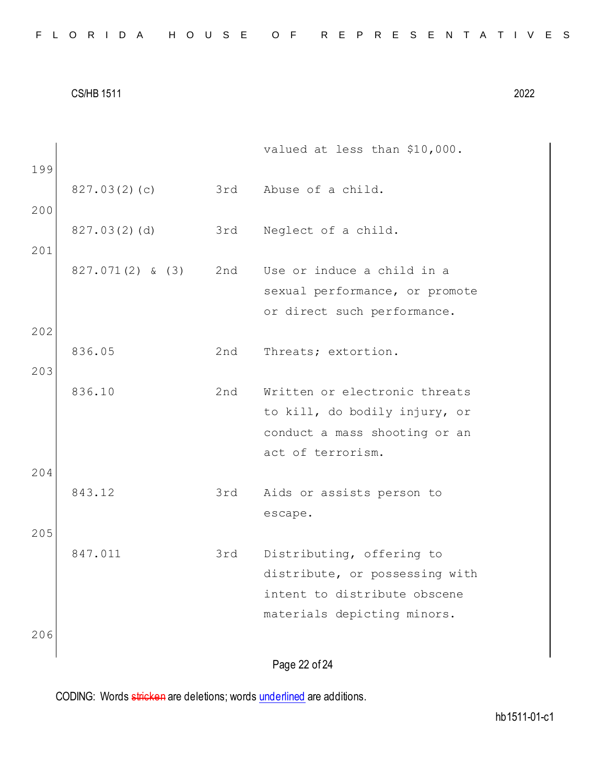|     |                    |     | valued at less than \$10,000.  |
|-----|--------------------|-----|--------------------------------|
| 199 |                    |     |                                |
|     | 827.03(2)(c)       | 3rd | Abuse of a child.              |
| 200 |                    |     |                                |
|     | 827.03(2)(d)       | 3rd | Neglect of a child.            |
| 201 |                    |     |                                |
|     | $827.071(2)$ & (3) | 2nd | Use or induce a child in a     |
|     |                    |     | sexual performance, or promote |
| 202 |                    |     | or direct such performance.    |
|     | 836.05             | 2nd | Threats; extortion.            |
| 203 |                    |     |                                |
|     | 836.10             | 2nd | Written or electronic threats  |
|     |                    |     | to kill, do bodily injury, or  |
|     |                    |     | conduct a mass shooting or an  |
|     |                    |     | act of terrorism.              |
| 204 |                    |     |                                |
|     | 843.12             | 3rd | Aids or assists person to      |
|     |                    |     | escape.                        |
| 205 |                    |     |                                |
|     | 847.011            | 3rd | Distributing, offering to      |
|     |                    |     | distribute, or possessing with |
|     |                    |     | intent to distribute obscene   |
|     |                    |     | materials depicting minors.    |
| 206 |                    |     |                                |
|     |                    |     | Page 22 of 24                  |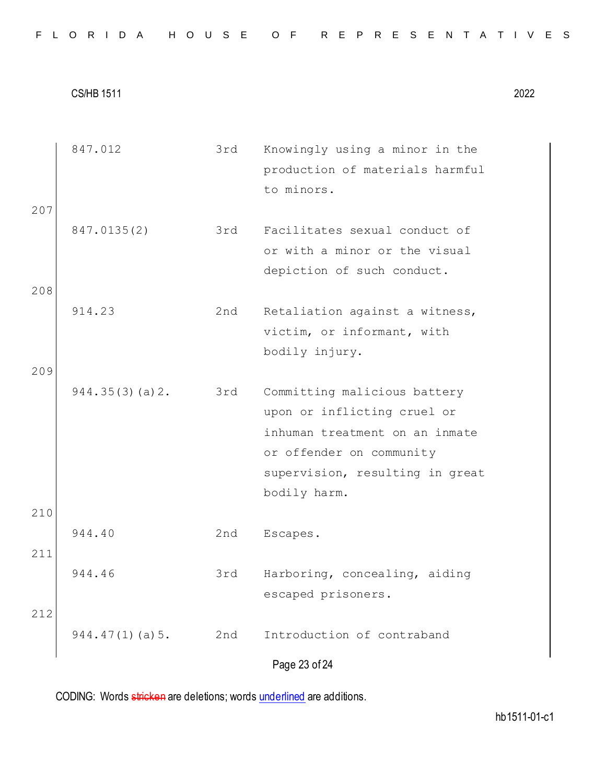|     | 847.012            | 3rd | Knowingly using a minor in the  |
|-----|--------------------|-----|---------------------------------|
|     |                    |     | production of materials harmful |
|     |                    |     | to minors.                      |
| 207 |                    |     |                                 |
|     | 847.0135(2)        | 3rd | Facilitates sexual conduct of   |
|     |                    |     | or with a minor or the visual   |
|     |                    |     | depiction of such conduct.      |
| 208 |                    |     |                                 |
|     | 914.23             | 2nd | Retaliation against a witness,  |
|     |                    |     | victim, or informant, with      |
|     |                    |     | bodily injury.                  |
| 209 |                    |     |                                 |
|     | 944.35(3)(a) 2.    | 3rd | Committing malicious battery    |
|     |                    |     | upon or inflicting cruel or     |
|     |                    |     | inhuman treatment on an inmate  |
|     |                    |     | or offender on community        |
|     |                    |     | supervision, resulting in great |
|     |                    |     | bodily harm.                    |
| 210 |                    |     |                                 |
|     | 944.40             | 2nd | Escapes.                        |
| 211 |                    |     |                                 |
|     | 944.46             | 3rd | Harboring, concealing, aiding   |
|     |                    |     | escaped prisoners.              |
| 212 |                    |     |                                 |
|     | $944.47(1)$ (a) 5. | 2nd | Introduction of contraband      |
|     |                    |     | Page 23 of 24                   |
|     |                    |     |                                 |